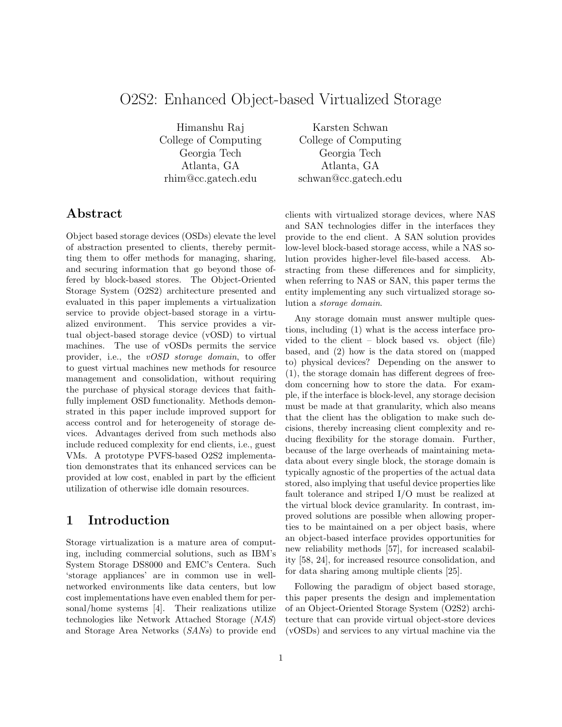# O2S2: Enhanced Object-based Virtualized Storage

Himanshu Raj College of Computing Georgia Tech Atlanta, GA rhim@cc.gatech.edu

Karsten Schwan College of Computing Georgia Tech Atlanta, GA schwan@cc.gatech.edu

## Abstract

Object based storage devices (OSDs) elevate the level of abstraction presented to clients, thereby permitting them to offer methods for managing, sharing, and securing information that go beyond those offered by block-based stores. The Object-Oriented Storage System (O2S2) architecture presented and evaluated in this paper implements a virtualization service to provide object-based storage in a virtualized environment. This service provides a virtual object-based storage device (vOSD) to virtual machines. The use of vOSDs permits the service provider, i.e., the vOSD storage domain, to offer to guest virtual machines new methods for resource management and consolidation, without requiring the purchase of physical storage devices that faithfully implement OSD functionality. Methods demonstrated in this paper include improved support for access control and for heterogeneity of storage devices. Advantages derived from such methods also include reduced complexity for end clients, i.e., guest VMs. A prototype PVFS-based O2S2 implementation demonstrates that its enhanced services can be provided at low cost, enabled in part by the efficient utilization of otherwise idle domain resources.

### 1 Introduction

Storage virtualization is a mature area of computing, including commercial solutions, such as IBM's System Storage DS8000 and EMC's Centera. Such 'storage appliances' are in common use in wellnetworked environments like data centers, but low cost implementations have even enabled them for personal/home systems [4]. Their realizations utilize technologies like Network Attached Storage (NAS) and Storage Area Networks (SANs) to provide end clients with virtualized storage devices, where NAS and SAN technologies differ in the interfaces they provide to the end client. A SAN solution provides low-level block-based storage access, while a NAS solution provides higher-level file-based access. Abstracting from these differences and for simplicity, when referring to NAS or SAN, this paper terms the entity implementing any such virtualized storage solution a storage domain.

Any storage domain must answer multiple questions, including (1) what is the access interface provided to the client – block based vs. object (file) based, and (2) how is the data stored on (mapped to) physical devices? Depending on the answer to (1), the storage domain has different degrees of freedom concerning how to store the data. For example, if the interface is block-level, any storage decision must be made at that granularity, which also means that the client has the obligation to make such decisions, thereby increasing client complexity and reducing flexibility for the storage domain. Further, because of the large overheads of maintaining metadata about every single block, the storage domain is typically agnostic of the properties of the actual data stored, also implying that useful device properties like fault tolerance and striped I/O must be realized at the virtual block device granularity. In contrast, improved solutions are possible when allowing properties to be maintained on a per object basis, where an object-based interface provides opportunities for new reliability methods [57], for increased scalability [58, 24], for increased resource consolidation, and for data sharing among multiple clients [25].

Following the paradigm of object based storage, this paper presents the design and implementation of an Object-Oriented Storage System (O2S2) architecture that can provide virtual object-store devices (vOSDs) and services to any virtual machine via the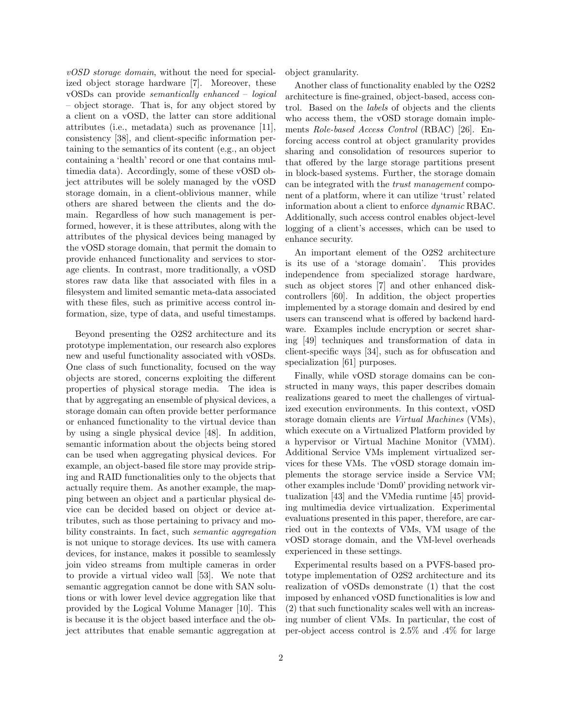vOSD storage domain, without the need for specialized object storage hardware [7]. Moreover, these vOSDs can provide semantically enhanced – logical – object storage. That is, for any object stored by a client on a vOSD, the latter can store additional attributes (i.e., metadata) such as provenance [11], consistency [38], and client-specific information pertaining to the semantics of its content (e.g., an object containing a 'health' record or one that contains multimedia data). Accordingly, some of these vOSD object attributes will be solely managed by the vOSD storage domain, in a client-oblivious manner, while others are shared between the clients and the domain. Regardless of how such management is performed, however, it is these attributes, along with the attributes of the physical devices being managed by the vOSD storage domain, that permit the domain to provide enhanced functionality and services to storage clients. In contrast, more traditionally, a vOSD stores raw data like that associated with files in a filesystem and limited semantic meta-data associated with these files, such as primitive access control information, size, type of data, and useful timestamps.

Beyond presenting the O2S2 architecture and its prototype implementation, our research also explores new and useful functionality associated with vOSDs. One class of such functionality, focused on the way objects are stored, concerns exploiting the different properties of physical storage media. The idea is that by aggregating an ensemble of physical devices, a storage domain can often provide better performance or enhanced functionality to the virtual device than by using a single physical device [48]. In addition, semantic information about the objects being stored can be used when aggregating physical devices. For example, an object-based file store may provide striping and RAID functionalities only to the objects that actually require them. As another example, the mapping between an object and a particular physical device can be decided based on object or device attributes, such as those pertaining to privacy and mobility constraints. In fact, such semantic aggregation is not unique to storage devices. Its use with camera devices, for instance, makes it possible to seamlessly join video streams from multiple cameras in order to provide a virtual video wall [53]. We note that semantic aggregation cannot be done with SAN solutions or with lower level device aggregation like that provided by the Logical Volume Manager [10]. This is because it is the object based interface and the object attributes that enable semantic aggregation at object granularity.

Another class of functionality enabled by the O2S2 architecture is fine-grained, object-based, access control. Based on the labels of objects and the clients who access them, the vOSD storage domain implements Role-based Access Control (RBAC) [26]. Enforcing access control at object granularity provides sharing and consolidation of resources superior to that offered by the large storage partitions present in block-based systems. Further, the storage domain can be integrated with the trust management component of a platform, where it can utilize 'trust' related information about a client to enforce dynamic RBAC. Additionally, such access control enables object-level logging of a client's accesses, which can be used to enhance security.

An important element of the O2S2 architecture is its use of a 'storage domain'. This provides independence from specialized storage hardware, such as object stores [7] and other enhanced diskcontrollers [60]. In addition, the object properties implemented by a storage domain and desired by end users can transcend what is offered by backend hardware. Examples include encryption or secret sharing [49] techniques and transformation of data in client-specific ways [34], such as for obfuscation and specialization [61] purposes.

Finally, while vOSD storage domains can be constructed in many ways, this paper describes domain realizations geared to meet the challenges of virtualized execution environments. In this context, vOSD storage domain clients are Virtual Machines (VMs), which execute on a Virtualized Platform provided by a hypervisor or Virtual Machine Monitor (VMM). Additional Service VMs implement virtualized services for these VMs. The vOSD storage domain implements the storage service inside a Service VM; other examples include 'Dom0' providing network virtualization [43] and the VMedia runtime [45] providing multimedia device virtualization. Experimental evaluations presented in this paper, therefore, are carried out in the contexts of VMs, VM usage of the vOSD storage domain, and the VM-level overheads experienced in these settings.

Experimental results based on a PVFS-based prototype implementation of O2S2 architecture and its realization of vOSDs demonstrate (1) that the cost imposed by enhanced vOSD functionalities is low and (2) that such functionality scales well with an increasing number of client VMs. In particular, the cost of per-object access control is 2.5% and .4% for large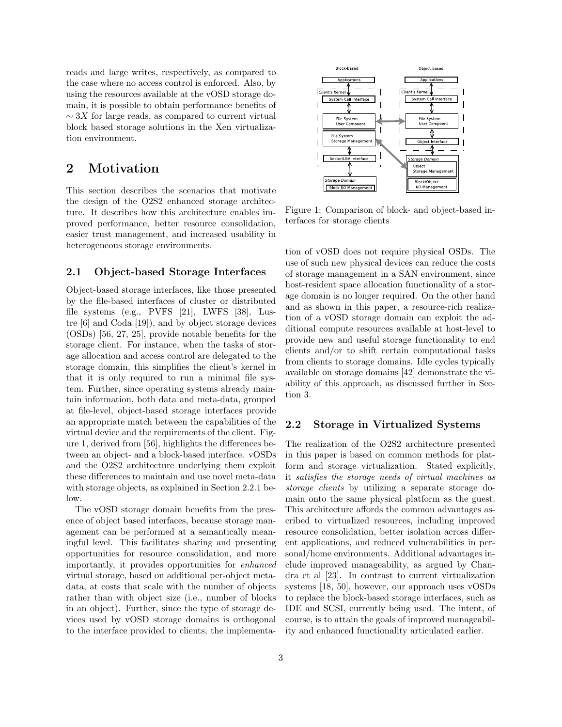reads and large writes, respectively, as compared to the case where no access control is enforced. Also, by using the resources available at the vOSD storage domain, it is possible to obtain performance benefits of  $\sim 3X$  for large reads, as compared to current virtual block based storage solutions in the Xen virtualization environment.

## 2 Motivation

This section describes the scenarios that motivate the design of the O2S2 enhanced storage architecture. It describes how this architecture enables improved performance, better resource consolidation, easier trust management, and increased usability in heterogeneous storage environments.

#### 2.1 Object-based Storage Interfaces

Object-based storage interfaces, like those presented by the file-based interfaces of cluster or distributed file systems (e.g., PVFS [21], LWFS [38], Lustre [6] and Coda [19]), and by object storage devices (OSDs) [56, 27, 25], provide notable benefits for the storage client. For instance, when the tasks of storage allocation and access control are delegated to the storage domain, this simplifies the client's kernel in that it is only required to run a minimal file system. Further, since operating systems already maintain information, both data and meta-data, grouped at file-level, object-based storage interfaces provide an appropriate match between the capabilities of the virtual device and the requirements of the client. Figure 1, derived from [56], highlights the differences between an object- and a block-based interface. vOSDs and the O2S2 architecture underlying them exploit these differences to maintain and use novel meta-data with storage objects, as explained in Section 2.2.1 below.

The vOSD storage domain benefits from the presence of object based interfaces, because storage management can be performed at a semantically meaningful level. This facilitates sharing and presenting opportunities for resource consolidation, and more importantly, it provides opportunities for enhanced virtual storage, based on additional per-object metadata, at costs that scale with the number of objects rather than with object size (i.e., number of blocks in an object). Further, since the type of storage devices used by vOSD storage domains is orthogonal to the interface provided to clients, the implementa-



Figure 1: Comparison of block- and object-based interfaces for storage clients

tion of vOSD does not require physical OSDs. The use of such new physical devices can reduce the costs of storage management in a SAN environment, since host-resident space allocation functionality of a storage domain is no longer required. On the other hand and as shown in this paper, a resource-rich realization of a vOSD storage domain can exploit the additional compute resources available at host-level to provide new and useful storage functionality to end clients and/or to shift certain computational tasks from clients to storage domains. Idle cycles typically available on storage domains [42] demonstrate the viability of this approach, as discussed further in Section 3.

#### 2.2 Storage in Virtualized Systems

The realization of the O2S2 architecture presented in this paper is based on common methods for platform and storage virtualization. Stated explicitly, it satisfies the storage needs of virtual machines as storage clients by utilizing a separate storage domain onto the same physical platform as the guest. This architecture affords the common advantages ascribed to virtualized resources, including improved resource consolidation, better isolation across different applications, and reduced vulnerabilities in personal/home environments. Additional advantages include improved manageability, as argued by Chandra et al [23]. In contrast to current virtualization systems [18, 50], however, our approach uses vOSDs to replace the block-based storage interfaces, such as IDE and SCSI, currently being used. The intent, of course, is to attain the goals of improved manageability and enhanced functionality articulated earlier.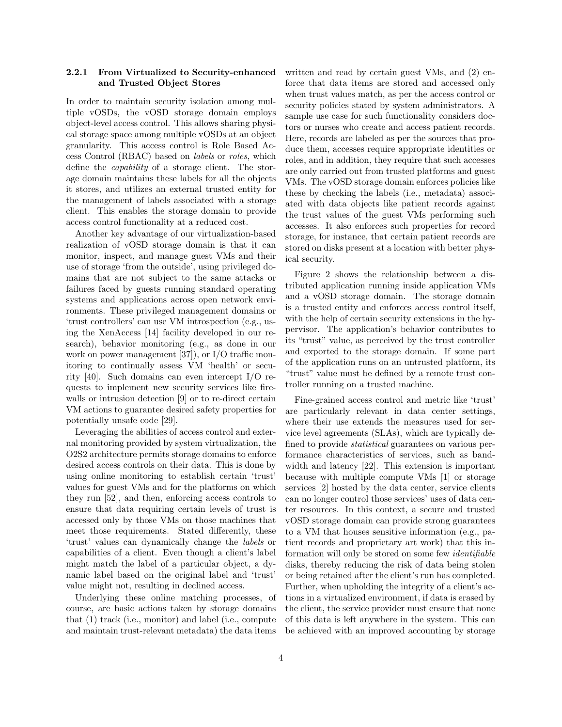#### 2.2.1 From Virtualized to Security-enhanced and Trusted Object Stores

In order to maintain security isolation among multiple vOSDs, the vOSD storage domain employs object-level access control. This allows sharing physical storage space among multiple vOSDs at an object granularity. This access control is Role Based Access Control (RBAC) based on labels or roles, which define the capability of a storage client. The storage domain maintains these labels for all the objects it stores, and utilizes an external trusted entity for the management of labels associated with a storage client. This enables the storage domain to provide access control functionality at a reduced cost.

Another key advantage of our virtualization-based realization of vOSD storage domain is that it can monitor, inspect, and manage guest VMs and their use of storage 'from the outside', using privileged domains that are not subject to the same attacks or failures faced by guests running standard operating systems and applications across open network environments. These privileged management domains or 'trust controllers' can use VM introspection (e.g., using the XenAccess [14] facility developed in our research), behavior monitoring (e.g., as done in our work on power management [37]), or I/O traffic monitoring to continually assess VM 'health' or security [40]. Such domains can even intercept I/O requests to implement new security services like firewalls or intrusion detection [9] or to re-direct certain VM actions to guarantee desired safety properties for potentially unsafe code [29].

Leveraging the abilities of access control and external monitoring provided by system virtualization, the O2S2 architecture permits storage domains to enforce desired access controls on their data. This is done by using online monitoring to establish certain 'trust' values for guest VMs and for the platforms on which they run [52], and then, enforcing access controls to ensure that data requiring certain levels of trust is accessed only by those VMs on those machines that meet those requirements. Stated differently, these 'trust' values can dynamically change the labels or capabilities of a client. Even though a client's label might match the label of a particular object, a dynamic label based on the original label and 'trust' value might not, resulting in declined access.

Underlying these online matching processes, of course, are basic actions taken by storage domains that (1) track (i.e., monitor) and label (i.e., compute and maintain trust-relevant metadata) the data items written and read by certain guest VMs, and (2) enforce that data items are stored and accessed only when trust values match, as per the access control or security policies stated by system administrators. A sample use case for such functionality considers doctors or nurses who create and access patient records. Here, records are labeled as per the sources that produce them, accesses require appropriate identities or roles, and in addition, they require that such accesses are only carried out from trusted platforms and guest VMs. The vOSD storage domain enforces policies like these by checking the labels (i.e., metadata) associated with data objects like patient records against the trust values of the guest VMs performing such accesses. It also enforces such properties for record storage, for instance, that certain patient records are stored on disks present at a location with better physical security.

Figure 2 shows the relationship between a distributed application running inside application VMs and a vOSD storage domain. The storage domain is a trusted entity and enforces access control itself, with the help of certain security extensions in the hypervisor. The application's behavior contributes to its "trust" value, as perceived by the trust controller and exported to the storage domain. If some part of the application runs on an untrusted platform, its "trust" value must be defined by a remote trust controller running on a trusted machine.

Fine-grained access control and metric like 'trust' are particularly relevant in data center settings, where their use extends the measures used for service level agreements (SLAs), which are typically defined to provide statistical guarantees on various performance characteristics of services, such as bandwidth and latency [22]. This extension is important because with multiple compute VMs [1] or storage services [2] hosted by the data center, service clients can no longer control those services' uses of data center resources. In this context, a secure and trusted vOSD storage domain can provide strong guarantees to a VM that houses sensitive information (e.g., patient records and proprietary art work) that this information will only be stored on some few identifiable disks, thereby reducing the risk of data being stolen or being retained after the client's run has completed. Further, when upholding the integrity of a client's actions in a virtualized environment, if data is erased by the client, the service provider must ensure that none of this data is left anywhere in the system. This can be achieved with an improved accounting by storage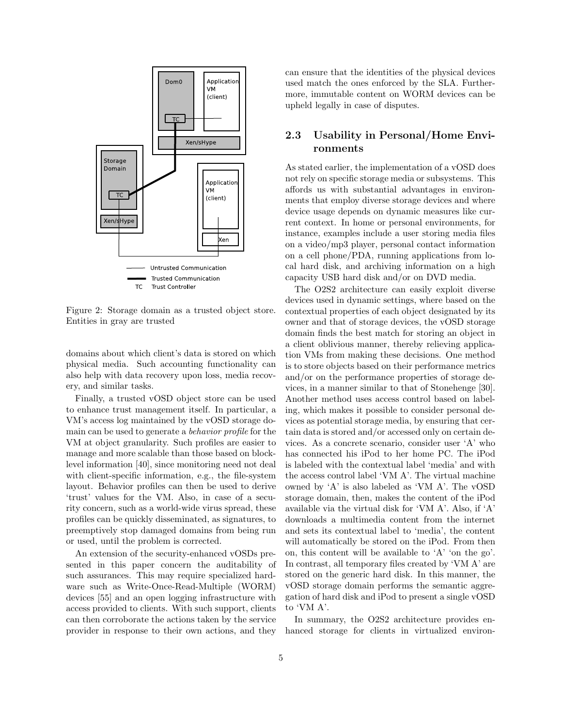

Figure 2: Storage domain as a trusted object store. Entities in gray are trusted

domains about which client's data is stored on which physical media. Such accounting functionality can also help with data recovery upon loss, media recovery, and similar tasks.

Finally, a trusted vOSD object store can be used to enhance trust management itself. In particular, a VM's access log maintained by the vOSD storage domain can be used to generate a behavior profile for the VM at object granularity. Such profiles are easier to manage and more scalable than those based on blocklevel information [40], since monitoring need not deal with client-specific information, e.g., the file-system layout. Behavior profiles can then be used to derive 'trust' values for the VM. Also, in case of a security concern, such as a world-wide virus spread, these profiles can be quickly disseminated, as signatures, to preemptively stop damaged domains from being run or used, until the problem is corrected.

An extension of the security-enhanced vOSDs presented in this paper concern the auditability of such assurances. This may require specialized hardware such as Write-Once-Read-Multiple (WORM) devices [55] and an open logging infrastructure with access provided to clients. With such support, clients can then corroborate the actions taken by the service provider in response to their own actions, and they can ensure that the identities of the physical devices used match the ones enforced by the SLA. Furthermore, immutable content on WORM devices can be upheld legally in case of disputes.

### 2.3 Usability in Personal/Home Environments

As stated earlier, the implementation of a vOSD does not rely on specific storage media or subsystems. This affords us with substantial advantages in environments that employ diverse storage devices and where device usage depends on dynamic measures like current context. In home or personal environments, for instance, examples include a user storing media files on a video/mp3 player, personal contact information on a cell phone/PDA, running applications from local hard disk, and archiving information on a high capacity USB hard disk and/or on DVD media.

The O2S2 architecture can easily exploit diverse devices used in dynamic settings, where based on the contextual properties of each object designated by its owner and that of storage devices, the vOSD storage domain finds the best match for storing an object in a client oblivious manner, thereby relieving application VMs from making these decisions. One method is to store objects based on their performance metrics and/or on the performance properties of storage devices, in a manner similar to that of Stonehenge [30]. Another method uses access control based on labeling, which makes it possible to consider personal devices as potential storage media, by ensuring that certain data is stored and/or accessed only on certain devices. As a concrete scenario, consider user 'A' who has connected his iPod to her home PC. The iPod is labeled with the contextual label 'media' and with the access control label 'VM A'. The virtual machine owned by 'A' is also labeled as 'VM A'. The vOSD storage domain, then, makes the content of the iPod available via the virtual disk for 'VM A'. Also, if 'A' downloads a multimedia content from the internet and sets its contextual label to 'media', the content will automatically be stored on the iPod. From then on, this content will be available to 'A' 'on the go'. In contrast, all temporary files created by 'VM A' are stored on the generic hard disk. In this manner, the vOSD storage domain performs the semantic aggregation of hard disk and iPod to present a single vOSD to 'VM A'.

In summary, the O2S2 architecture provides enhanced storage for clients in virtualized environ-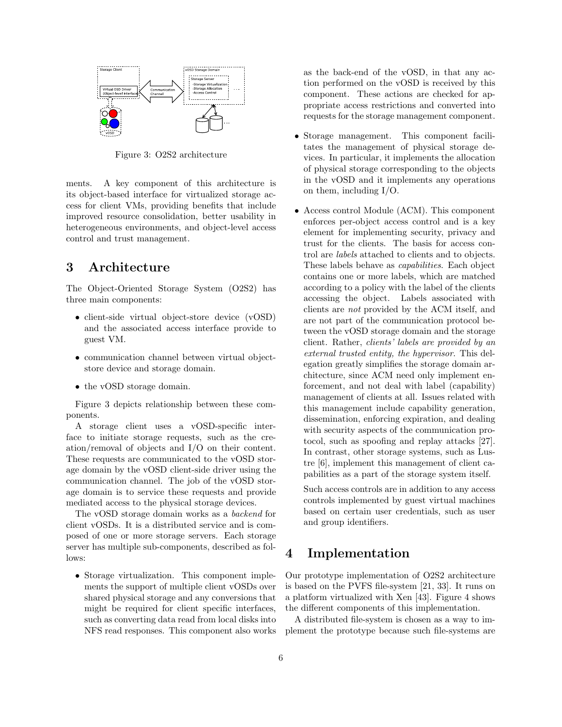

Figure 3: O2S2 architecture

ments. A key component of this architecture is its object-based interface for virtualized storage access for client VMs, providing benefits that include improved resource consolidation, better usability in heterogeneous environments, and object-level access control and trust management.

## 3 Architecture

The Object-Oriented Storage System (O2S2) has three main components:

- client-side virtual object-store device (vOSD) and the associated access interface provide to guest VM.
- communication channel between virtual objectstore device and storage domain.
- the vOSD storage domain.

Figure 3 depicts relationship between these components.

A storage client uses a vOSD-specific interface to initiate storage requests, such as the creation/removal of objects and I/O on their content. These requests are communicated to the vOSD storage domain by the vOSD client-side driver using the communication channel. The job of the vOSD storage domain is to service these requests and provide mediated access to the physical storage devices.

The vOSD storage domain works as a backend for client vOSDs. It is a distributed service and is composed of one or more storage servers. Each storage server has multiple sub-components, described as follows:

• Storage virtualization. This component implements the support of multiple client vOSDs over shared physical storage and any conversions that might be required for client specific interfaces, such as converting data read from local disks into NFS read responses. This component also works as the back-end of the vOSD, in that any action performed on the vOSD is received by this component. These actions are checked for appropriate access restrictions and converted into requests for the storage management component.

- Storage management. This component facilitates the management of physical storage devices. In particular, it implements the allocation of physical storage corresponding to the objects in the vOSD and it implements any operations on them, including I/O.
- Access control Module (ACM). This component enforces per-object access control and is a key element for implementing security, privacy and trust for the clients. The basis for access control are labels attached to clients and to objects. These labels behave as capabilities. Each object contains one or more labels, which are matched according to a policy with the label of the clients accessing the object. Labels associated with clients are not provided by the ACM itself, and are not part of the communication protocol between the vOSD storage domain and the storage client. Rather, clients' labels are provided by an external trusted entity, the hypervisor. This delegation greatly simplifies the storage domain architecture, since ACM need only implement enforcement, and not deal with label (capability) management of clients at all. Issues related with this management include capability generation, dissemination, enforcing expiration, and dealing with security aspects of the communication protocol, such as spoofing and replay attacks [27]. In contrast, other storage systems, such as Lustre [6], implement this management of client capabilities as a part of the storage system itself.

Such access controls are in addition to any access controls implemented by guest virtual machines based on certain user credentials, such as user and group identifiers.

### 4 Implementation

Our prototype implementation of O2S2 architecture is based on the PVFS file-system [21, 33]. It runs on a platform virtualized with Xen [43]. Figure 4 shows the different components of this implementation.

A distributed file-system is chosen as a way to implement the prototype because such file-systems are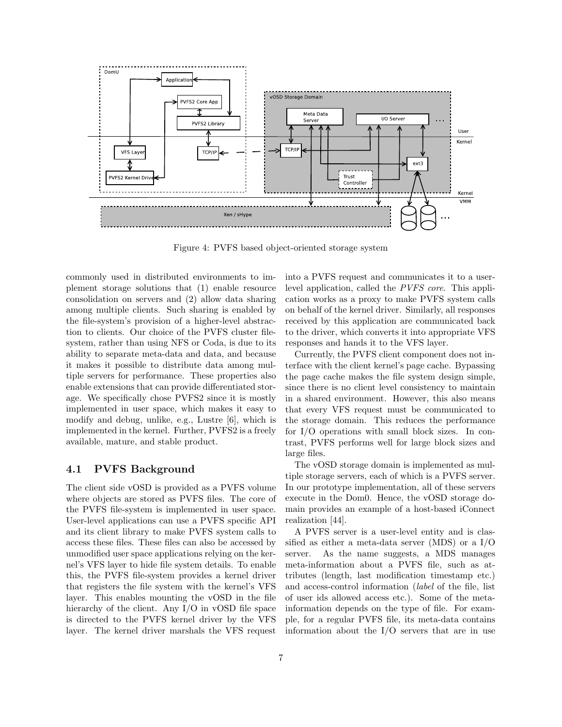

Figure 4: PVFS based object-oriented storage system

commonly used in distributed environments to implement storage solutions that (1) enable resource consolidation on servers and (2) allow data sharing among multiple clients. Such sharing is enabled by the file-system's provision of a higher-level abstraction to clients. Our choice of the PVFS cluster filesystem, rather than using NFS or Coda, is due to its ability to separate meta-data and data, and because it makes it possible to distribute data among multiple servers for performance. These properties also enable extensions that can provide differentiated storage. We specifically chose PVFS2 since it is mostly implemented in user space, which makes it easy to modify and debug, unlike, e.g., Lustre [6], which is implemented in the kernel. Further, PVFS2 is a freely available, mature, and stable product.

#### 4.1 PVFS Background

The client side vOSD is provided as a PVFS volume where objects are stored as PVFS files. The core of the PVFS file-system is implemented in user space. User-level applications can use a PVFS specific API and its client library to make PVFS system calls to access these files. These files can also be accessed by unmodified user space applications relying on the kernel's VFS layer to hide file system details. To enable this, the PVFS file-system provides a kernel driver that registers the file system with the kernel's VFS layer. This enables mounting the vOSD in the file hierarchy of the client. Any I/O in vOSD file space is directed to the PVFS kernel driver by the VFS layer. The kernel driver marshals the VFS request

into a PVFS request and communicates it to a userlevel application, called the PVFS core. This application works as a proxy to make PVFS system calls on behalf of the kernel driver. Similarly, all responses received by this application are communicated back to the driver, which converts it into appropriate VFS responses and hands it to the VFS layer.

Currently, the PVFS client component does not interface with the client kernel's page cache. Bypassing the page cache makes the file system design simple, since there is no client level consistency to maintain in a shared environment. However, this also means that every VFS request must be communicated to the storage domain. This reduces the performance for I/O operations with small block sizes. In contrast, PVFS performs well for large block sizes and large files.

The vOSD storage domain is implemented as multiple storage servers, each of which is a PVFS server. In our prototype implementation, all of these servers execute in the Dom0. Hence, the vOSD storage domain provides an example of a host-based iConnect realization [44].

A PVFS server is a user-level entity and is classified as either a meta-data server (MDS) or a I/O server. As the name suggests, a MDS manages meta-information about a PVFS file, such as attributes (length, last modification timestamp etc.) and access-control information (label of the file, list of user ids allowed access etc.). Some of the metainformation depends on the type of file. For example, for a regular PVFS file, its meta-data contains information about the I/O servers that are in use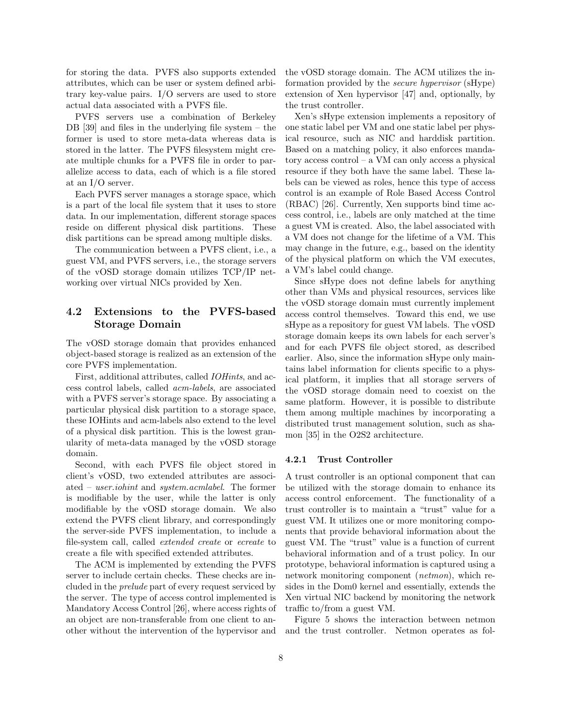for storing the data. PVFS also supports extended attributes, which can be user or system defined arbitrary key-value pairs. I/O servers are used to store actual data associated with a PVFS file.

PVFS servers use a combination of Berkeley DB [39] and files in the underlying file system – the former is used to store meta-data whereas data is stored in the latter. The PVFS filesystem might create multiple chunks for a PVFS file in order to parallelize access to data, each of which is a file stored at an I/O server.

Each PVFS server manages a storage space, which is a part of the local file system that it uses to store data. In our implementation, different storage spaces reside on different physical disk partitions. These disk partitions can be spread among multiple disks.

The communication between a PVFS client, i.e., a guest VM, and PVFS servers, i.e., the storage servers of the vOSD storage domain utilizes TCP/IP networking over virtual NICs provided by Xen.

### 4.2 Extensions to the PVFS-based Storage Domain

The vOSD storage domain that provides enhanced object-based storage is realized as an extension of the core PVFS implementation.

First, additional attributes, called IOHints, and access control labels, called acm-labels, are associated with a PVFS server's storage space. By associating a particular physical disk partition to a storage space, these IOHints and acm-labels also extend to the level of a physical disk partition. This is the lowest granularity of meta-data managed by the vOSD storage domain.

Second, with each PVFS file object stored in client's vOSD, two extended attributes are associated – user.iohint and system.acmlabel. The former is modifiable by the user, while the latter is only modifiable by the vOSD storage domain. We also extend the PVFS client library, and correspondingly the server-side PVFS implementation, to include a file-system call, called extended create or ecreate to create a file with specified extended attributes.

The ACM is implemented by extending the PVFS server to include certain checks. These checks are included in the prelude part of every request serviced by the server. The type of access control implemented is Mandatory Access Control [26], where access rights of an object are non-transferable from one client to another without the intervention of the hypervisor and the vOSD storage domain. The ACM utilizes the information provided by the secure hypervisor (sHype) extension of Xen hypervisor [47] and, optionally, by the trust controller.

Xen's sHype extension implements a repository of one static label per VM and one static label per physical resource, such as NIC and harddisk partition. Based on a matching policy, it also enforces mandatory access control – a VM can only access a physical resource if they both have the same label. These labels can be viewed as roles, hence this type of access control is an example of Role Based Access Control (RBAC) [26]. Currently, Xen supports bind time access control, i.e., labels are only matched at the time a guest VM is created. Also, the label associated with a VM does not change for the lifetime of a VM. This may change in the future, e.g., based on the identity of the physical platform on which the VM executes, a VM's label could change.

Since sHype does not define labels for anything other than VMs and physical resources, services like the vOSD storage domain must currently implement access control themselves. Toward this end, we use sHype as a repository for guest VM labels. The vOSD storage domain keeps its own labels for each server's and for each PVFS file object stored, as described earlier. Also, since the information sHype only maintains label information for clients specific to a physical platform, it implies that all storage servers of the vOSD storage domain need to coexist on the same platform. However, it is possible to distribute them among multiple machines by incorporating a distributed trust management solution, such as shamon [35] in the O2S2 architecture.

#### 4.2.1 Trust Controller

A trust controller is an optional component that can be utilized with the storage domain to enhance its access control enforcement. The functionality of a trust controller is to maintain a "trust" value for a guest VM. It utilizes one or more monitoring components that provide behavioral information about the guest VM. The "trust" value is a function of current behavioral information and of a trust policy. In our prototype, behavioral information is captured using a network monitoring component (netmon), which resides in the Dom0 kernel and essentially, extends the Xen virtual NIC backend by monitoring the network traffic to/from a guest VM.

Figure 5 shows the interaction between netmon and the trust controller. Netmon operates as fol-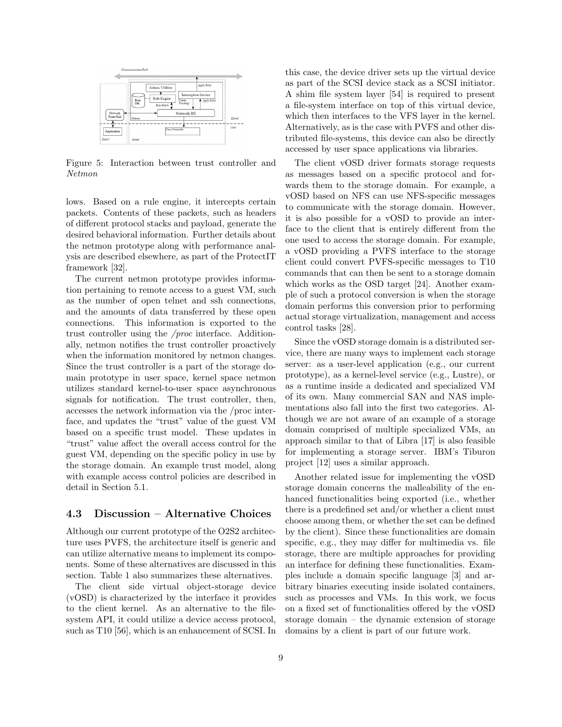

Figure 5: Interaction between trust controller and Netmon

lows. Based on a rule engine, it intercepts certain packets. Contents of these packets, such as headers of different protocol stacks and payload, generate the desired behavioral information. Further details about the netmon prototype along with performance analysis are described elsewhere, as part of the ProtectIT framework [32].

The current netmon prototype provides information pertaining to remote access to a guest VM, such as the number of open telnet and ssh connections, and the amounts of data transferred by these open connections. This information is exported to the trust controller using the /proc interface. Additionally, netmon notifies the trust controller proactively when the information monitored by netmon changes. Since the trust controller is a part of the storage domain prototype in user space, kernel space netmon utilizes standard kernel-to-user space asynchronous signals for notification. The trust controller, then, accesses the network information via the /proc interface, and updates the "trust" value of the guest VM based on a specific trust model. These updates in "trust" value affect the overall access control for the guest VM, depending on the specific policy in use by the storage domain. An example trust model, along with example access control policies are described in detail in Section 5.1.

#### 4.3 Discussion – Alternative Choices

Although our current prototype of the O2S2 architecture uses PVFS, the architecture itself is generic and can utilize alternative means to implement its components. Some of these alternatives are discussed in this section. Table 1 also summarizes these alternatives.

The client side virtual object-storage device (vOSD) is characterized by the interface it provides to the client kernel. As an alternative to the filesystem API, it could utilize a device access protocol, such as T10 [56], which is an enhancement of SCSI. In

this case, the device driver sets up the virtual device as part of the SCSI device stack as a SCSI initiator. A shim file system layer [54] is required to present a file-system interface on top of this virtual device, which then interfaces to the VFS layer in the kernel. Alternatively, as is the case with PVFS and other distributed file-systems, this device can also be directly accessed by user space applications via libraries.

The client vOSD driver formats storage requests as messages based on a specific protocol and forwards them to the storage domain. For example, a vOSD based on NFS can use NFS-specific messages to communicate with the storage domain. However, it is also possible for a vOSD to provide an interface to the client that is entirely different from the one used to access the storage domain. For example, a vOSD providing a PVFS interface to the storage client could convert PVFS-specific messages to T10 commands that can then be sent to a storage domain which works as the OSD target [24]. Another example of such a protocol conversion is when the storage domain performs this conversion prior to performing actual storage virtualization, management and access control tasks [28].

Since the vOSD storage domain is a distributed service, there are many ways to implement each storage server: as a user-level application (e.g., our current prototype), as a kernel-level service (e.g., Lustre), or as a runtime inside a dedicated and specialized VM of its own. Many commercial SAN and NAS implementations also fall into the first two categories. Although we are not aware of an example of a storage domain comprised of multiple specialized VMs, an approach similar to that of Libra [17] is also feasible for implementing a storage server. IBM's Tiburon project [12] uses a similar approach.

Another related issue for implementing the vOSD storage domain concerns the malleability of the enhanced functionalities being exported (i.e., whether there is a predefined set and/or whether a client must choose among them, or whether the set can be defined by the client). Since these functionalities are domain specific, e.g., they may differ for multimedia vs. file storage, there are multiple approaches for providing an interface for defining these functionalities. Examples include a domain specific language [3] and arbitrary binaries executing inside isolated containers, such as processes and VMs. In this work, we focus on a fixed set of functionalities offered by the vOSD storage domain – the dynamic extension of storage domains by a client is part of our future work.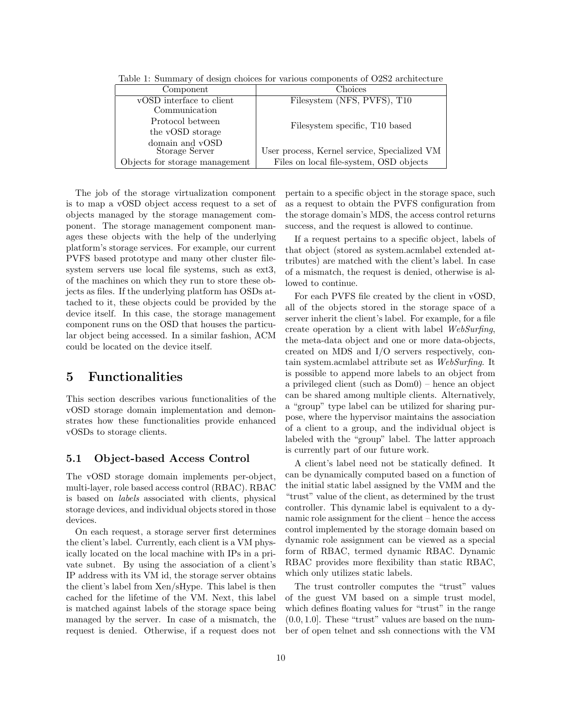Table 1: Summary of design choices for various components of O2S2 architecture

| Component                      | Choices                                      |
|--------------------------------|----------------------------------------------|
| vOSD interface to client       | Filesystem (NFS, PVFS), T10                  |
| Communication                  |                                              |
| Protocol between               | Filesystem specific, T10 based               |
| the vOSD storage               |                                              |
| domain and vOSD                |                                              |
| Storage Server                 | User process, Kernel service, Specialized VM |
| Objects for storage management | Files on local file-system, OSD objects      |

The job of the storage virtualization component is to map a vOSD object access request to a set of objects managed by the storage management component. The storage management component manages these objects with the help of the underlying platform's storage services. For example, our current PVFS based prototype and many other cluster filesystem servers use local file systems, such as ext3, of the machines on which they run to store these objects as files. If the underlying platform has OSDs attached to it, these objects could be provided by the device itself. In this case, the storage management component runs on the OSD that houses the particular object being accessed. In a similar fashion, ACM could be located on the device itself.

## 5 Functionalities

This section describes various functionalities of the vOSD storage domain implementation and demonstrates how these functionalities provide enhanced vOSDs to storage clients.

#### 5.1 Object-based Access Control

The vOSD storage domain implements per-object, multi-layer, role based access control (RBAC). RBAC is based on labels associated with clients, physical storage devices, and individual objects stored in those devices.

On each request, a storage server first determines the client's label. Currently, each client is a VM physically located on the local machine with IPs in a private subnet. By using the association of a client's IP address with its VM id, the storage server obtains the client's label from Xen/sHype. This label is then cached for the lifetime of the VM. Next, this label is matched against labels of the storage space being managed by the server. In case of a mismatch, the request is denied. Otherwise, if a request does not pertain to a specific object in the storage space, such as a request to obtain the PVFS configuration from the storage domain's MDS, the access control returns success, and the request is allowed to continue.

If a request pertains to a specific object, labels of that object (stored as system.acmlabel extended attributes) are matched with the client's label. In case of a mismatch, the request is denied, otherwise is allowed to continue.

For each PVFS file created by the client in vOSD, all of the objects stored in the storage space of a server inherit the client's label. For example, for a file create operation by a client with label WebSurfing, the meta-data object and one or more data-objects, created on MDS and I/O servers respectively, contain system.acmlabel attribute set as WebSurfing. It is possible to append more labels to an object from a privileged client (such as Dom0) – hence an object can be shared among multiple clients. Alternatively, a "group" type label can be utilized for sharing purpose, where the hypervisor maintains the association of a client to a group, and the individual object is labeled with the "group" label. The latter approach is currently part of our future work.

A client's label need not be statically defined. It can be dynamically computed based on a function of the initial static label assigned by the VMM and the "trust" value of the client, as determined by the trust controller. This dynamic label is equivalent to a dynamic role assignment for the client – hence the access control implemented by the storage domain based on dynamic role assignment can be viewed as a special form of RBAC, termed dynamic RBAC. Dynamic RBAC provides more flexibility than static RBAC, which only utilizes static labels.

The trust controller computes the "trust" values of the guest VM based on a simple trust model, which defines floating values for "trust" in the range  $(0.0, 1.0]$ . These "trust" values are based on the number of open telnet and ssh connections with the VM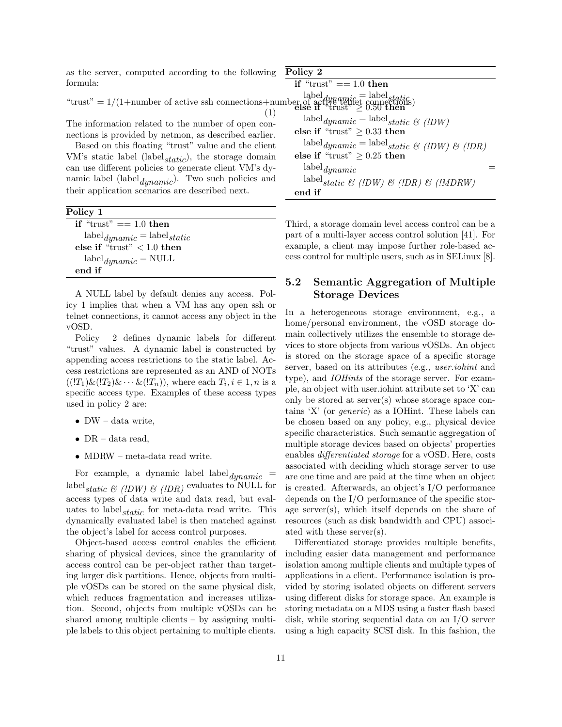as the server, computed according to the following formula:

"trust" =  $1/(1+$ number of active ssh connections+number of active setternamic = label statics) (1)

The information related to the number of open connections is provided by netmon, as described earlier.

Based on this floating "trust" value and the client VM's static label (label $_{static}$ ), the storage domain can use different policies to generate client VM's dynamic label (label $_{dynamic}$ ). Two such policies and their application scenarios are described next.

Policy 1 if "trust"  $== 1.0$  then  $label_{dynamic} =$ label<sub>static</sub> else if "trust"  $< 1.0$  then  $\text{label}_{dynamic} = \text{NULL}$ end if

A NULL label by default denies any access. Policy 1 implies that when a VM has any open ssh or telnet connections, it cannot access any object in the vOSD.

Policy 2 defines dynamic labels for different "trust" values. A dynamic label is constructed by appending access restrictions to the static label. Access restrictions are represented as an AND of NOTs  $((!T_1)\& (!T_2)\& \cdots \& (!T_n)),$  where each  $T_i, i \in 1, n$  is a specific access type. Examples of these access types used in policy 2 are:

- $DW data$  write,
- $DR data read$ .
- MDRW meta-data read write.

For example, a dynamic label  $\Delta$ label $\Delta$ dynamic = label<sub>static</sub> & (!DW) & (!DR) evaluates to NULL for access types of data write and data read, but evaluates to label $_{static}$  for meta-data read write. This dynamically evaluated label is then matched against the object's label for access control purposes.

Object-based access control enables the efficient sharing of physical devices, since the granularity of access control can be per-object rather than targeting larger disk partitions. Hence, objects from multiple vOSDs can be stored on the same physical disk, which reduces fragmentation and increases utilization. Second, objects from multiple vOSDs can be shared among multiple clients – by assigning multiple labels to this object pertaining to multiple clients.

Policy 2 if "trust"  $== 1.0$  then  $\text{else if}$  "trust"  $\geq 0.50$  then label $_{dynamic}$  = label<sub>static</sub> & (!DW) else if "trust"  $\geq 0.33$  then label $_{dynamic}$  = label<sub>static</sub> & (!DW) & (!DR) else if "trust"  $\geq 0.25$  then  $\hspace{1.6cm} \text{label} {d}_{d} =$ label static  $\mathcal C$  (!DW)  $\mathcal C$  (!DR)  $\mathcal C$  (!MDRW) end if

Third, a storage domain level access control can be a part of a multi-layer access control solution [41]. For example, a client may impose further role-based access control for multiple users, such as in SELinux [8].

### 5.2 Semantic Aggregation of Multiple Storage Devices

In a heterogeneous storage environment, e.g., a home/personal environment, the vOSD storage domain collectively utilizes the ensemble to storage devices to store objects from various vOSDs. An object is stored on the storage space of a specific storage server, based on its attributes (e.g., user.iohint and type), and *IOHints* of the storage server. For example, an object with user.iohint attribute set to 'X' can only be stored at server(s) whose storage space contains 'X' (or generic) as a IOHint. These labels can be chosen based on any policy, e.g., physical device specific characteristics. Such semantic aggregation of multiple storage devices based on objects' properties enables differentiated storage for a vOSD. Here, costs associated with deciding which storage server to use are one time and are paid at the time when an object is created. Afterwards, an object's I/O performance depends on the I/O performance of the specific storage server(s), which itself depends on the share of resources (such as disk bandwidth and CPU) associated with these server(s).

Differentiated storage provides multiple benefits, including easier data management and performance isolation among multiple clients and multiple types of applications in a client. Performance isolation is provided by storing isolated objects on different servers using different disks for storage space. An example is storing metadata on a MDS using a faster flash based disk, while storing sequential data on an I/O server using a high capacity SCSI disk. In this fashion, the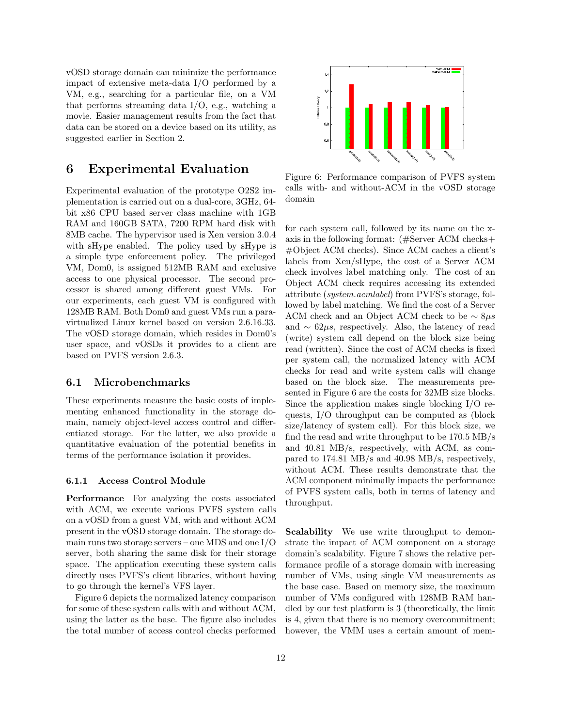vOSD storage domain can minimize the performance impact of extensive meta-data I/O performed by a VM, e.g., searching for a particular file, on a VM that performs streaming data I/O, e.g., watching a movie. Easier management results from the fact that data can be stored on a device based on its utility, as suggested earlier in Section 2.

### 6 Experimental Evaluation

Experimental evaluation of the prototype O2S2 implementation is carried out on a dual-core, 3GHz, 64 bit x86 CPU based server class machine with 1GB RAM and 160GB SATA, 7200 RPM hard disk with 8MB cache. The hypervisor used is Xen version 3.0.4 with sHype enabled. The policy used by sHype is a simple type enforcement policy. The privileged VM, Dom0, is assigned 512MB RAM and exclusive access to one physical processor. The second processor is shared among different guest VMs. For our experiments, each guest VM is configured with 128MB RAM. Both Dom0 and guest VMs run a paravirtualized Linux kernel based on version 2.6.16.33. The vOSD storage domain, which resides in Dom0's user space, and vOSDs it provides to a client are based on PVFS version 2.6.3.

#### 6.1 Microbenchmarks

These experiments measure the basic costs of implementing enhanced functionality in the storage domain, namely object-level access control and differentiated storage. For the latter, we also provide a quantitative evaluation of the potential benefits in terms of the performance isolation it provides.

#### 6.1.1 Access Control Module

Performance For analyzing the costs associated with ACM, we execute various PVFS system calls on a vOSD from a guest VM, with and without ACM present in the vOSD storage domain. The storage domain runs two storage servers – one MDS and one I/O server, both sharing the same disk for their storage space. The application executing these system calls directly uses PVFS's client libraries, without having to go through the kernel's VFS layer.

Figure 6 depicts the normalized latency comparison for some of these system calls with and without ACM, using the latter as the base. The figure also includes the total number of access control checks performed



Figure 6: Performance comparison of PVFS system calls with- and without-ACM in the vOSD storage domain

for each system call, followed by its name on the xaxis in the following format: (#Server ACM checks+ #Object ACM checks). Since ACM caches a client's labels from Xen/sHype, the cost of a Server ACM check involves label matching only. The cost of an Object ACM check requires accessing its extended attribute (system.acmlabel) from PVFS's storage, followed by label matching. We find the cost of a Server ACM check and an Object ACM check to be  $\sim 8\mu s$ and  $\sim 62 \mu s$ , respectively. Also, the latency of read (write) system call depend on the block size being read (written). Since the cost of ACM checks is fixed per system call, the normalized latency with ACM checks for read and write system calls will change based on the block size. The measurements presented in Figure 6 are the costs for 32MB size blocks. Since the application makes single blocking I/O requests, I/O throughput can be computed as (block size/latency of system call). For this block size, we find the read and write throughput to be 170.5 MB/s and 40.81 MB/s, respectively, with ACM, as compared to 174.81 MB/s and 40.98 MB/s, respectively, without ACM. These results demonstrate that the ACM component minimally impacts the performance of PVFS system calls, both in terms of latency and throughput.

Scalability We use write throughput to demonstrate the impact of ACM component on a storage domain's scalability. Figure 7 shows the relative performance profile of a storage domain with increasing number of VMs, using single VM measurements as the base case. Based on memory size, the maximum number of VMs configured with 128MB RAM handled by our test platform is 3 (theoretically, the limit is 4, given that there is no memory overcommitment; however, the VMM uses a certain amount of mem-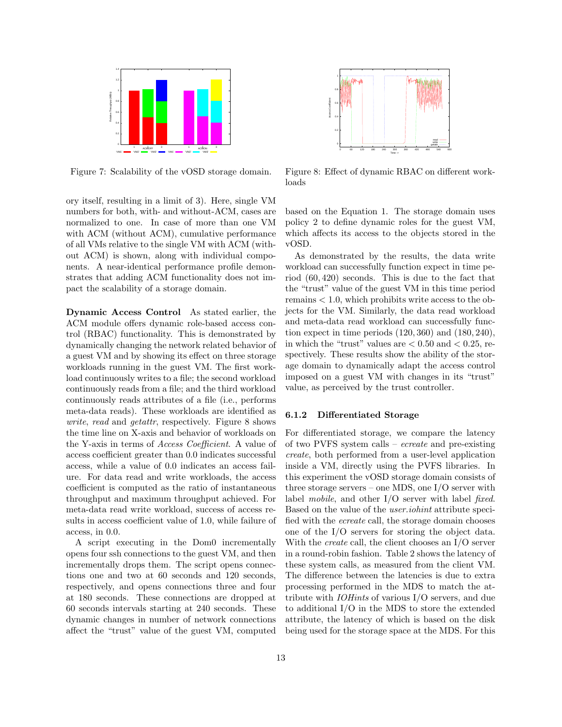

Figure 7: Scalability of the vOSD storage domain.

ory itself, resulting in a limit of 3). Here, single VM numbers for both, with- and without-ACM, cases are normalized to one. In case of more than one VM with ACM (without ACM), cumulative performance of all VMs relative to the single VM with ACM (without ACM) is shown, along with individual components. A near-identical performance profile demonstrates that adding ACM functionality does not impact the scalability of a storage domain.

Dynamic Access Control As stated earlier, the ACM module offers dynamic role-based access control (RBAC) functionality. This is demonstrated by dynamically changing the network related behavior of a guest VM and by showing its effect on three storage workloads running in the guest VM. The first workload continuously writes to a file; the second workload continuously reads from a file; and the third workload continuously reads attributes of a file (i.e., performs meta-data reads). These workloads are identified as write, read and getattr, respectively. Figure 8 shows the time line on X-axis and behavior of workloads on the Y-axis in terms of Access Coefficient. A value of access coefficient greater than 0.0 indicates successful access, while a value of 0.0 indicates an access failure. For data read and write workloads, the access coefficient is computed as the ratio of instantaneous throughput and maximum throughput achieved. For meta-data read write workload, success of access results in access coefficient value of 1.0, while failure of access, in 0.0.

A script executing in the Dom0 incrementally opens four ssh connections to the guest VM, and then incrementally drops them. The script opens connections one and two at 60 seconds and 120 seconds, respectively, and opens connections three and four at 180 seconds. These connections are dropped at 60 seconds intervals starting at 240 seconds. These dynamic changes in number of network connections affect the "trust" value of the guest VM, computed



Figure 8: Effect of dynamic RBAC on different workloads

based on the Equation 1. The storage domain uses policy 2 to define dynamic roles for the guest VM, which affects its access to the objects stored in the vOSD.

As demonstrated by the results, the data write workload can successfully function expect in time period (60, 420) seconds. This is due to the fact that the "trust" value of the guest VM in this time period remains  $< 1.0$ , which prohibits write access to the objects for the VM. Similarly, the data read workload and meta-data read workload can successfully function expect in time periods (120, 360) and (180, 240), in which the "trust" values are  $< 0.50$  and  $< 0.25$ , respectively. These results show the ability of the storage domain to dynamically adapt the access control imposed on a guest VM with changes in its "trust" value, as perceived by the trust controller.

#### 6.1.2 Differentiated Storage

For differentiated storage, we compare the latency of two PVFS system calls – ecreate and pre-existing create, both performed from a user-level application inside a VM, directly using the PVFS libraries. In this experiment the vOSD storage domain consists of three storage servers – one MDS, one I/O server with label mobile, and other I/O server with label fixed. Based on the value of the user.iohint attribute specified with the ecreate call, the storage domain chooses one of the I/O servers for storing the object data. With the create call, the client chooses an I/O server in a round-robin fashion. Table 2 shows the latency of these system calls, as measured from the client VM. The difference between the latencies is due to extra processing performed in the MDS to match the attribute with IOHints of various I/O servers, and due to additional I/O in the MDS to store the extended attribute, the latency of which is based on the disk being used for the storage space at the MDS. For this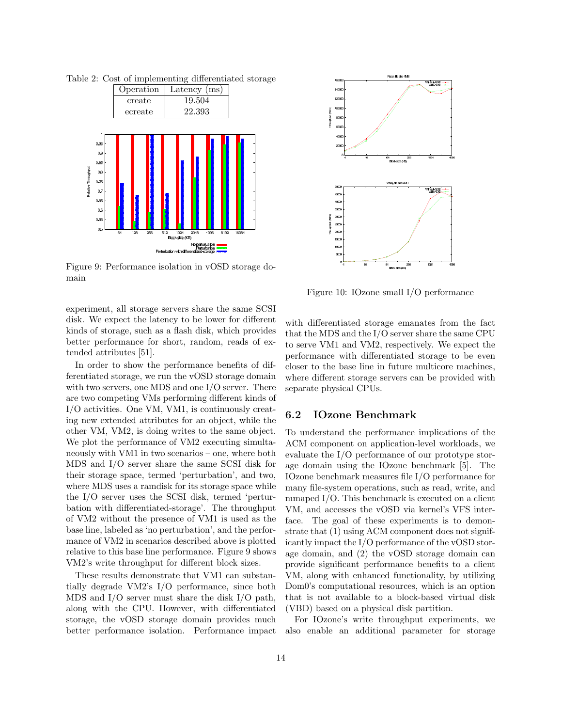

Table 2: Cost of implementing differentiated storage

Figure 9: Performance isolation in vOSD storage domain

experiment, all storage servers share the same SCSI disk. We expect the latency to be lower for different kinds of storage, such as a flash disk, which provides better performance for short, random, reads of extended attributes [51].

In order to show the performance benefits of differentiated storage, we run the vOSD storage domain with two servers, one MDS and one I/O server. There are two competing VMs performing different kinds of I/O activities. One VM, VM1, is continuously creating new extended attributes for an object, while the other VM, VM2, is doing writes to the same object. We plot the performance of VM2 executing simultaneously with VM1 in two scenarios – one, where both MDS and I/O server share the same SCSI disk for their storage space, termed 'perturbation', and two, where MDS uses a ramdisk for its storage space while the I/O server uses the SCSI disk, termed 'perturbation with differentiated-storage'. The throughput of VM2 without the presence of VM1 is used as the base line, labeled as 'no perturbation', and the performance of VM2 in scenarios described above is plotted relative to this base line performance. Figure 9 shows VM2's write throughput for different block sizes.

These results demonstrate that VM1 can substantially degrade VM2's I/O performance, since both MDS and I/O server must share the disk I/O path, along with the CPU. However, with differentiated storage, the vOSD storage domain provides much better performance isolation. Performance impact



Figure 10: IOzone small I/O performance

with differentiated storage emanates from the fact that the MDS and the I/O server share the same CPU to serve VM1 and VM2, respectively. We expect the performance with differentiated storage to be even closer to the base line in future multicore machines, where different storage servers can be provided with separate physical CPUs.

### 6.2 IOzone Benchmark

To understand the performance implications of the ACM component on application-level workloads, we evaluate the I/O performance of our prototype storage domain using the IOzone benchmark [5]. The IOzone benchmark measures file I/O performance for many file-system operations, such as read, write, and mmaped I/O. This benchmark is executed on a client VM, and accesses the vOSD via kernel's VFS interface. The goal of these experiments is to demonstrate that (1) using ACM component does not significantly impact the I/O performance of the vOSD storage domain, and (2) the vOSD storage domain can provide significant performance benefits to a client VM, along with enhanced functionality, by utilizing Dom0's computational resources, which is an option that is not available to a block-based virtual disk (VBD) based on a physical disk partition.

For IOzone's write throughput experiments, we also enable an additional parameter for storage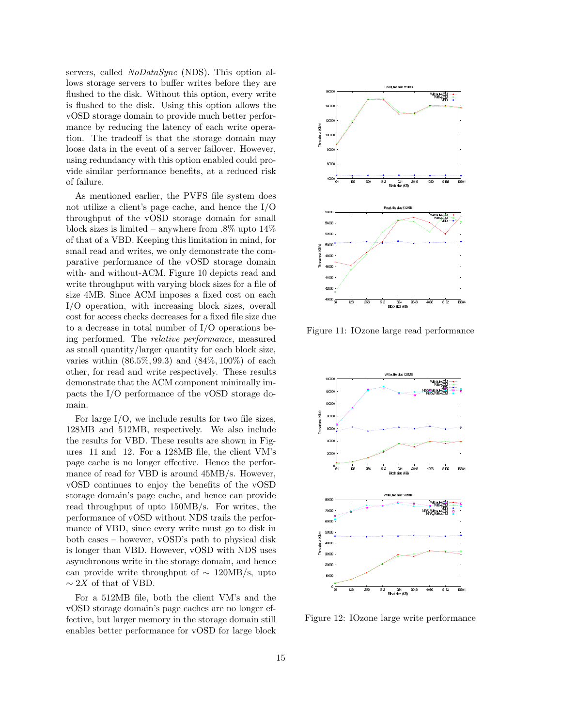servers, called *NoDataSync* (NDS). This option allows storage servers to buffer writes before they are flushed to the disk. Without this option, every write is flushed to the disk. Using this option allows the vOSD storage domain to provide much better performance by reducing the latency of each write operation. The tradeoff is that the storage domain may loose data in the event of a server failover. However, using redundancy with this option enabled could provide similar performance benefits, at a reduced risk of failure.

As mentioned earlier, the PVFS file system does not utilize a client's page cache, and hence the I/O throughput of the vOSD storage domain for small block sizes is limited – anywhere from  $.8\%$  upto  $14\%$ of that of a VBD. Keeping this limitation in mind, for small read and writes, we only demonstrate the comparative performance of the vOSD storage domain with- and without-ACM. Figure 10 depicts read and write throughput with varying block sizes for a file of size 4MB. Since ACM imposes a fixed cost on each I/O operation, with increasing block sizes, overall cost for access checks decreases for a fixed file size due to a decrease in total number of I/O operations being performed. The relative performance, measured as small quantity/larger quantity for each block size, varies within (86.5%, 99.3) and (84%, 100%) of each other, for read and write respectively. These results demonstrate that the ACM component minimally impacts the I/O performance of the vOSD storage domain.

For large  $I/O$ , we include results for two file sizes, 128MB and 512MB, respectively. We also include the results for VBD. These results are shown in Figures 11 and 12. For a 128MB file, the client VM's page cache is no longer effective. Hence the performance of read for VBD is around 45MB/s. However, vOSD continues to enjoy the benefits of the vOSD storage domain's page cache, and hence can provide read throughput of upto 150MB/s. For writes, the performance of vOSD without NDS trails the performance of VBD, since every write must go to disk in both cases – however, vOSD's path to physical disk is longer than VBD. However, vOSD with NDS uses asynchronous write in the storage domain, and hence can provide write throughput of  $\sim 120MB/s$ , upto  $\sim$  2X of that of VBD.

For a 512MB file, both the client VM's and the vOSD storage domain's page caches are no longer effective, but larger memory in the storage domain still enables better performance for vOSD for large block



Figure 11: IOzone large read performance



Figure 12: IOzone large write performance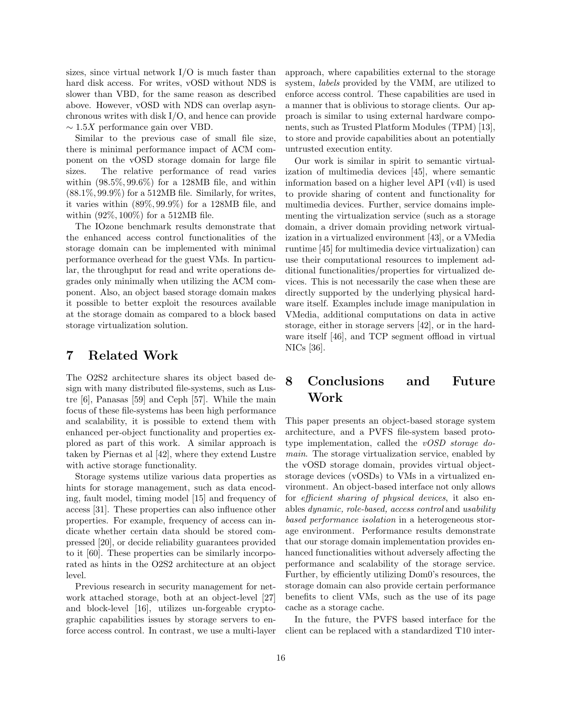sizes, since virtual network I/O is much faster than hard disk access. For writes, vOSD without NDS is slower than VBD, for the same reason as described above. However, vOSD with NDS can overlap asynchronous writes with disk I/O, and hence can provide  $\sim$  1.5X performance gain over VBD.

Similar to the previous case of small file size, there is minimal performance impact of ACM component on the vOSD storage domain for large file sizes. The relative performance of read varies within  $(98.5\%, 99.6\%)$  for a 128MB file, and within  $(88.1\%, 99.9\%)$  for a 512MB file. Similarly, for writes, it varies within (89%, 99.9%) for a 128MB file, and within (92%, 100%) for a 512MB file.

The IOzone benchmark results demonstrate that the enhanced access control functionalities of the storage domain can be implemented with minimal performance overhead for the guest VMs. In particular, the throughput for read and write operations degrades only minimally when utilizing the ACM component. Also, an object based storage domain makes it possible to better exploit the resources available at the storage domain as compared to a block based storage virtualization solution.

### 7 Related Work

The O2S2 architecture shares its object based design with many distributed file-systems, such as Lustre [6], Panasas [59] and Ceph [57]. While the main focus of these file-systems has been high performance and scalability, it is possible to extend them with enhanced per-object functionality and properties explored as part of this work. A similar approach is taken by Piernas et al [42], where they extend Lustre with active storage functionality.

Storage systems utilize various data properties as hints for storage management, such as data encoding, fault model, timing model [15] and frequency of access [31]. These properties can also influence other properties. For example, frequency of access can indicate whether certain data should be stored compressed [20], or decide reliability guarantees provided to it [60]. These properties can be similarly incorporated as hints in the O2S2 architecture at an object level.

Previous research in security management for network attached storage, both at an object-level [27] and block-level [16], utilizes un-forgeable cryptographic capabilities issues by storage servers to enforce access control. In contrast, we use a multi-layer approach, where capabilities external to the storage system, labels provided by the VMM, are utilized to enforce access control. These capabilities are used in a manner that is oblivious to storage clients. Our approach is similar to using external hardware components, such as Trusted Platform Modules (TPM) [13], to store and provide capabilities about an potentially untrusted execution entity.

Our work is similar in spirit to semantic virtualization of multimedia devices [45], where semantic information based on a higher level API (v4l) is used to provide sharing of content and functionality for multimedia devices. Further, service domains implementing the virtualization service (such as a storage domain, a driver domain providing network virtualization in a virtualized environment [43], or a VMedia runtime [45] for multimedia device virtualization) can use their computational resources to implement additional functionalities/properties for virtualized devices. This is not necessarily the case when these are directly supported by the underlying physical hardware itself. Examples include image manipulation in VMedia, additional computations on data in active storage, either in storage servers [42], or in the hardware itself [46], and TCP segment offload in virtual NICs [36].

# 8 Conclusions and Future Work

This paper presents an object-based storage system architecture, and a PVFS file-system based prototype implementation, called the vOSD storage domain. The storage virtualization service, enabled by the vOSD storage domain, provides virtual objectstorage devices (vOSDs) to VMs in a virtualized environment. An object-based interface not only allows for efficient sharing of physical devices, it also enables dynamic, role-based, access control and usability based performance isolation in a heterogeneous storage environment. Performance results demonstrate that our storage domain implementation provides enhanced functionalities without adversely affecting the performance and scalability of the storage service. Further, by efficiently utilizing Dom0's resources, the storage domain can also provide certain performance benefits to client VMs, such as the use of its page cache as a storage cache.

In the future, the PVFS based interface for the client can be replaced with a standardized T10 inter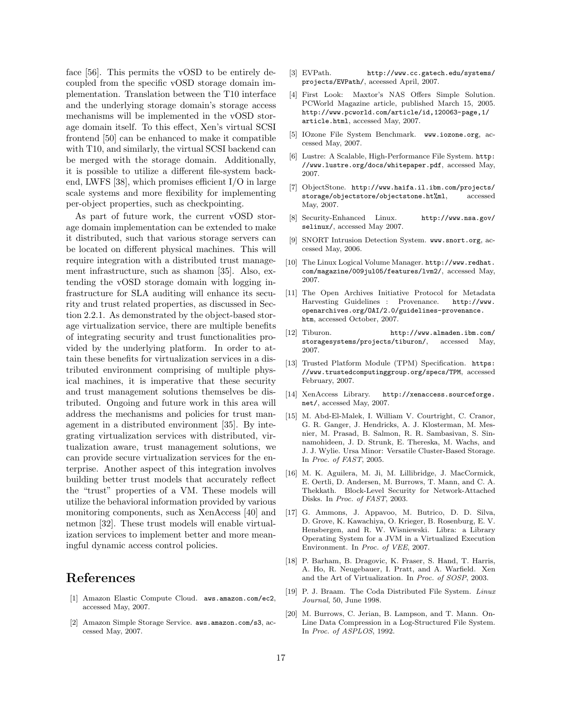face [56]. This permits the vOSD to be entirely decoupled from the specific vOSD storage domain implementation. Translation between the T10 interface and the underlying storage domain's storage access mechanisms will be implemented in the vOSD storage domain itself. To this effect, Xen's virtual SCSI frontend [50] can be enhanced to make it compatible with T10, and similarly, the virtual SCSI backend can be merged with the storage domain. Additionally, it is possible to utilize a different file-system backend, LWFS [38], which promises efficient I/O in large scale systems and more flexibility for implementing per-object properties, such as checkpointing.

As part of future work, the current vOSD storage domain implementation can be extended to make it distributed, such that various storage servers can be located on different physical machines. This will require integration with a distributed trust management infrastructure, such as shamon [35]. Also, extending the vOSD storage domain with logging infrastructure for SLA auditing will enhance its security and trust related properties, as discussed in Section 2.2.1. As demonstrated by the object-based storage virtualization service, there are multiple benefits of integrating security and trust functionalities provided by the underlying platform. In order to attain these benefits for virtualization services in a distributed environment comprising of multiple physical machines, it is imperative that these security and trust management solutions themselves be distributed. Ongoing and future work in this area will address the mechanisms and policies for trust management in a distributed environment [35]. By integrating virtualization services with distributed, virtualization aware, trust management solutions, we can provide secure virtualization services for the enterprise. Another aspect of this integration involves building better trust models that accurately reflect the "trust" properties of a VM. These models will utilize the behavioral information provided by various monitoring components, such as XenAccess [40] and netmon [32]. These trust models will enable virtualization services to implement better and more meaningful dynamic access control policies.

### References

- [1] Amazon Elastic Compute Cloud. aws.amazon.com/ec2, accessed May, 2007.
- [2] Amazon Simple Storage Service. aws.amazon.com/s3, accessed May, 2007.
- [3] EVPath. http://www.cc.gatech.edu/systems/ projects/EVPath/, aceessed April, 2007.
- [4] First Look: Maxtor's NAS Offers Simple Solution. PCWorld Magazine article, published March 15, 2005. http://www.pcworld.com/article/id,120063-page,1/ article.html, accessed May, 2007.
- [5] IOzone File System Benchmark. www.iozone.org, accessed May, 2007.
- [6] Lustre: A Scalable, High-Performance File System. http: //www.lustre.org/docs/whitepaper.pdf, accessed May, 2007.
- [7] ObjectStone. http://www.haifa.il.ibm.com/projects/ storage/objectstore/objectstone.ht%ml, accessed May, 2007.
- [8] Security-Enhanced Linux. http://www.nsa.gov/ selinux/, accessed May 2007.
- [9] SNORT Intrusion Detection System. www.snort.org, accessed May, 2006.
- [10] The Linux Logical Volume Manager. http://www.redhat. com/magazine/009jul05/features/lvm2/, accessed May, 2007.
- [11] The Open Archives Initiative Protocol for Metadata Harvesting Guidelines : Provenance. http://www. openarchives.org/OAI/2.0/guidelines-provenance. htm, accessed October, 2007.
- [12] Tiburon. http://www.almaden.ibm.com/ storagesystems/projects/tiburon/, accessed May, 2007.
- [13] Trusted Platform Module (TPM) Specification. https: //www.trustedcomputinggroup.org/specs/TPM, accessed February, 2007.
- [14] XenAccess Library. http://xenaccess.sourceforge. net/, accessed May, 2007.
- [15] M. Abd-El-Malek, I. William V. Courtright, C. Cranor, G. R. Ganger, J. Hendricks, A. J. Klosterman, M. Mesnier, M. Prasad, B. Salmon, R. R. Sambasivan, S. Sinnamohideen, J. D. Strunk, E. Thereska, M. Wachs, and J. J. Wylie. Ursa Minor: Versatile Cluster-Based Storage. In Proc. of FAST, 2005.
- [16] M. K. Aguilera, M. Ji, M. Lillibridge, J. MacCormick, E. Oertli, D. Andersen, M. Burrows, T. Mann, and C. A. Thekkath. Block-Level Security for Network-Attached Disks. In Proc. of FAST, 2003.
- [17] G. Ammons, J. Appavoo, M. Butrico, D. D. Silva, D. Grove, K. Kawachiya, O. Krieger, B. Rosenburg, E. V. Hensbergen, and R. W. Wisniewski. Libra: a Library Operating System for a JVM in a Virtualized Execution Environment. In Proc. of VEE, 2007.
- [18] P. Barham, B. Dragovic, K. Fraser, S. Hand, T. Harris, A. Ho, R. Neugebauer, I. Pratt, and A. Warfield. Xen and the Art of Virtualization. In Proc. of SOSP, 2003.
- [19] P. J. Braam. The Coda Distributed File System. Linux Journal, 50, June 1998.
- [20] M. Burrows, C. Jerian, B. Lampson, and T. Mann. On-Line Data Compression in a Log-Structured File System. In Proc. of ASPLOS, 1992.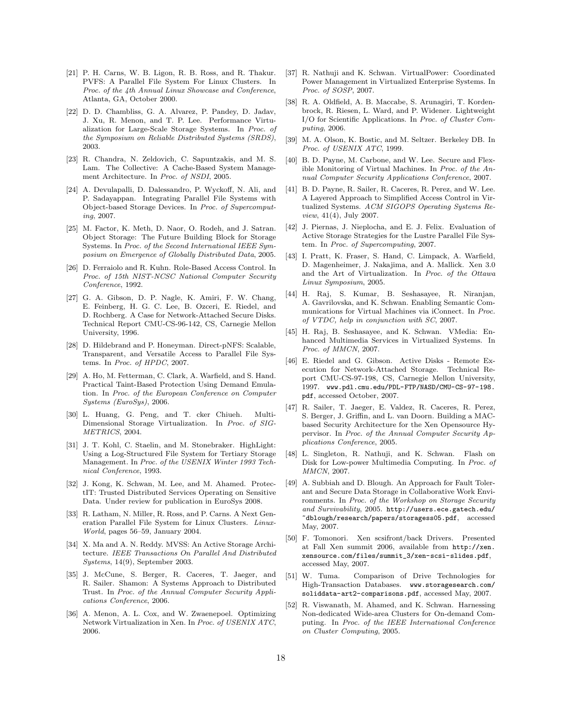- [21] P. H. Carns, W. B. Ligon, R. B. Ross, and R. Thakur. PVFS: A Parallel File System For Linux Clusters. In Proc. of the 4th Annual Linux Showcase and Conference, Atlanta, GA, October 2000.
- [22] D. D. Chambliss, G. A. Alvarez, P. Pandey, D. Jadav, J. Xu, R. Menon, and T. P. Lee. Performance Virtualization for Large-Scale Storage Systems. In Proc. of the Symposium on Reliable Distributed Systems (SRDS), 2003.
- [23] R. Chandra, N. Zeldovich, C. Sapuntzakis, and M. S. Lam. The Collective: A Cache-Based System Management Architecture. In Proc. of NSDI, 2005.
- [24] A. Devulapalli, D. Dalessandro, P. Wyckoff, N. Ali, and P. Sadayappan. Integrating Parallel File Systems with Object-based Storage Devices. In Proc. of Supercomputing, 2007.
- [25] M. Factor, K. Meth, D. Naor, O. Rodeh, and J. Satran. Object Storage: The Future Building Block for Storage Systems. In Proc. of the Second International IEEE Symposium on Emergence of Globally Distributed Data, 2005.
- [26] D. Ferraiolo and R. Kuhn. Role-Based Access Control. In Proc. of 15th NIST-NCSC National Computer Security Conference, 1992.
- [27] G. A. Gibson, D. P. Nagle, K. Amiri, F. W. Chang, E. Feinberg, H. G. C. Lee, B. Ozceri, E. Riedel, and D. Rochberg. A Case for Network-Attached Secure Disks. Technical Report CMU-CS-96-142, CS, Carnegie Mellon University, 1996.
- [28] D. Hildebrand and P. Honeyman. Direct-pNFS: Scalable, Transparent, and Versatile Access to Parallel File Systems. In Proc. of HPDC, 2007.
- [29] A. Ho, M. Fetterman, C. Clark, A. Warfield, and S. Hand. Practical Taint-Based Protection Using Demand Emulation. In Proc. of the European Conference on Computer Systems (EuroSys), 2006.
- [30] L. Huang, G. Peng, and T. cker Chiueh. Multi-Dimensional Storage Virtualization. In Proc. of SIG-METRICS, 2004.
- [31] J. T. Kohl, C. Staelin, and M. Stonebraker. HighLight: Using a Log-Structured File System for Tertiary Storage Management. In Proc. of the USENIX Winter 1993 Technical Conference, 1993.
- [32] J. Kong, K. Schwan, M. Lee, and M. Ahamed. ProtectIT: Trusted Distributed Services Operating on Sensitive Data. Under review for publication in EuroSys 2008.
- [33] R. Latham, N. Miller, R. Ross, and P. Carns. A Next Generation Parallel File System for Linux Clusters. Linux-World, pages 56–59, January 2004.
- [34] X. Ma and A. N. Reddy. MVSS: An Active Storage Architecture. IEEE Transactions On Parallel And Distributed Systems, 14(9), September 2003.
- [35] J. McCune, S. Berger, R. Caceres, T. Jaeger, and R. Sailer. Shamon: A Systems Approach to Distributed Trust. In Proc. of the Annual Computer Security Applications Conference, 2006.
- [36] A. Menon, A. L. Cox, and W. Zwaenepoel. Optimizing Network Virtualization in Xen. In Proc. of USENIX ATC, 2006.
- [37] R. Nathuji and K. Schwan. VirtualPower: Coordinated Power Management in Virtualized Enterprise Systems. In Proc. of SOSP, 2007.
- [38] R. A. Oldfield, A. B. Maccabe, S. Arunagiri, T. Kordenbrock, R. Riesen, L. Ward, and P. Widener. Lightweight I/O for Scientific Applications. In Proc. of Cluster Computing, 2006.
- [39] M. A. Olson, K. Bostic, and M. Seltzer. Berkeley DB. In Proc. of USENIX ATC, 1999.
- [40] B. D. Payne, M. Carbone, and W. Lee. Secure and Flexible Monitoring of Virtual Machines. In Proc. of the Annual Computer Security Applications Conference, 2007.
- [41] B. D. Payne, R. Sailer, R. Caceres, R. Perez, and W. Lee. A Layered Approach to Simplified Access Control in Virtualized Systems. ACM SIGOPS Operating Systems Review, 41(4), July 2007.
- [42] J. Piernas, J. Nieplocha, and E. J. Felix. Evaluation of Active Storage Strategies for the Lustre Parallel File System. In Proc. of Supercomputing, 2007.
- [43] I. Pratt, K. Fraser, S. Hand, C. Limpack, A. Warfield, D. Magenheimer, J. Nakajima, and A. Mallick. Xen 3.0 and the Art of Virtualization. In Proc. of the Ottawa Linux Symposium, 2005.
- [44] H. Raj, S. Kumar, B. Seshasayee, R. Niranjan, A. Gavrilovska, and K. Schwan. Enabling Semantic Communications for Virtual Machines via iConnect. In Proc. of VTDC, help in conjunction with SC, 2007.
- [45] H. Raj, B. Seshasayee, and K. Schwan. VMedia: Enhanced Multimedia Services in Virtualized Systems. In Proc. of MMCN, 2007.
- [46] E. Riedel and G. Gibson. Active Disks Remote Execution for Network-Attached Storage. Technical Report CMU-CS-97-198, CS, Carnegie Mellon University, 1997. www.pdl.cmu.edu/PDL-FTP/NASD/CMU-CS-97-198. pdf, accessed October, 2007.
- [47] R. Sailer, T. Jaeger, E. Valdez, R. Caceres, R. Perez, S. Berger, J. Griffin, and L. van Doorn. Building a MACbased Security Architecture for the Xen Opensource Hypervisor. In Proc. of the Annual Computer Security Applications Conference, 2005.
- [48] L. Singleton, R. Nathuji, and K. Schwan. Flash on Disk for Low-power Multimedia Computing. In Proc. of MMCN, 2007.
- [49] A. Subbiah and D. Blough. An Approach for Fault Tolerant and Secure Data Storage in Collaborative Work Environments. In Proc. of the Workshop on Storage Security and Survivability, 2005. http://users.ece.gatech.edu/ ~dblough/research/papers/storagess05.pdf, accessed May, 2007.
- [50] F. Tomonori. Xen scsifront/back Drivers. Presented at Fall Xen summit 2006, available from http://xen. xensource.com/files/summit\_3/xen-scsi-slides.pdf, accessed May, 2007.
- [51] W. Tuma. Comparison of Drive Technologies for High-Transaction Databases. www.storagesearch.com/ soliddata-art2-comparisons.pdf, accessed May, 2007.
- [52] R. Viswanath, M. Ahamed, and K. Schwan. Harnessing Non-dedicated Wide-area Clusters for On-demand Computing. In Proc. of the IEEE International Conference on Cluster Computing, 2005.